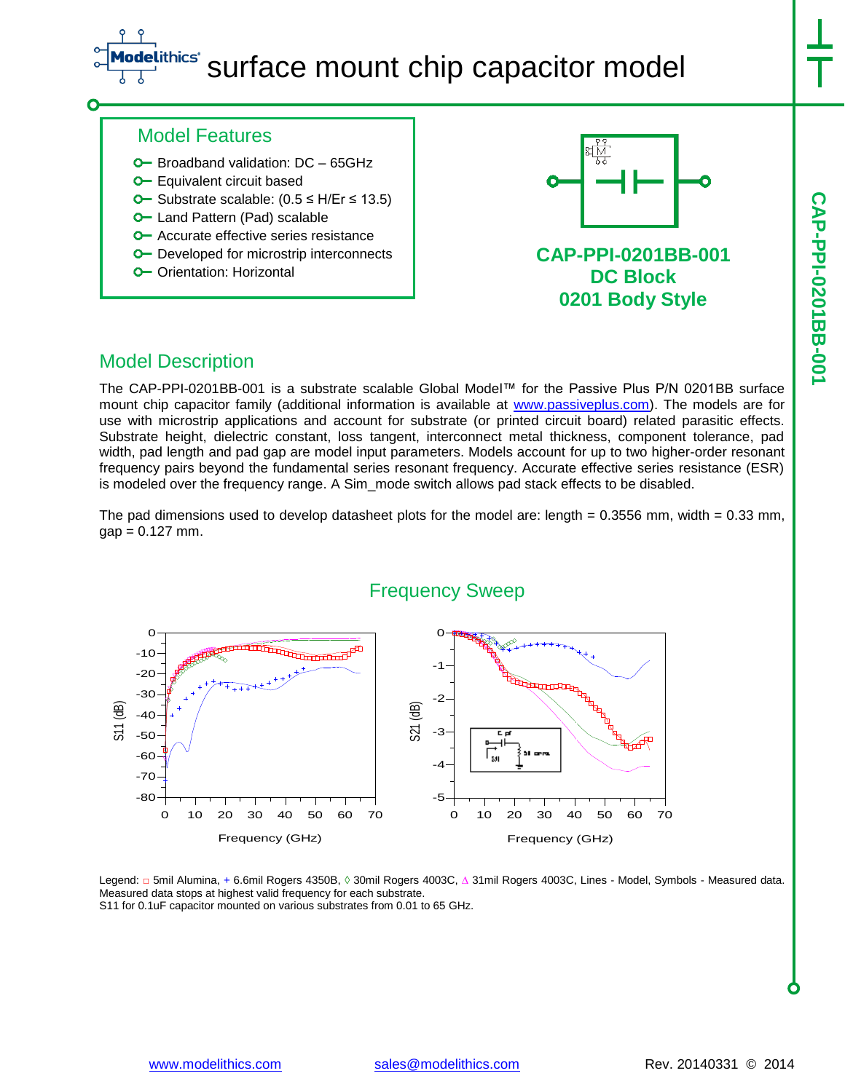## thics<sup>®</sup> surface mount chip capacitor model

**CAP-PPI-0201BB-001**

CAP-PPI-0201BB-001

### Model Features

- **O** Broadband validation: DC 65GHz
- **O** Equivalent circuit based
- Substrate scalable: (0.5 ≤ H/Er ≤ 13.5)
- **O** Land Pattern (Pad) scalable
- **O** Accurate effective series resistance
- **O** Developed for microstrip interconnects
- O Orientation: Horizontal



**CAP-PPI-0201BB-001 DC Block 0201 Body Style**

#### Model Description

The CAP-PPI-0201BB-001 is a substrate scalable Global Model™ for the Passive Plus P/N 0201BB surface mount chip capacitor family (additional information is available at [www.passiveplus.com\)](http://www.passiveplus.com/). The models are for use with microstrip applications and account for substrate (or printed circuit board) related parasitic effects. Substrate height, dielectric constant, loss tangent, interconnect metal thickness, component tolerance, pad width, pad length and pad gap are model input parameters. Models account for up to two higher-order resonant frequency pairs beyond the fundamental series resonant frequency. Accurate effective series resistance (ESR) is modeled over the frequency range. A Sim\_mode switch allows pad stack effects to be disabled.

The pad dimensions used to develop datasheet plots for the model are: length =  $0.3556$  mm, width =  $0.33$  mm,  $gap = 0.127$  mm.



Legend: □ 5mil Alumina, + 6.6mil Rogers 4350B, ◊ 30mil Rogers 4003C, ∆ 31mil Rogers 4003C, Lines - Model, Symbols - Measured data. Measured data stops at highest valid frequency for each substrate. S11 for 0.1uF capacitor mounted on various substrates from 0.01 to 65 GHz.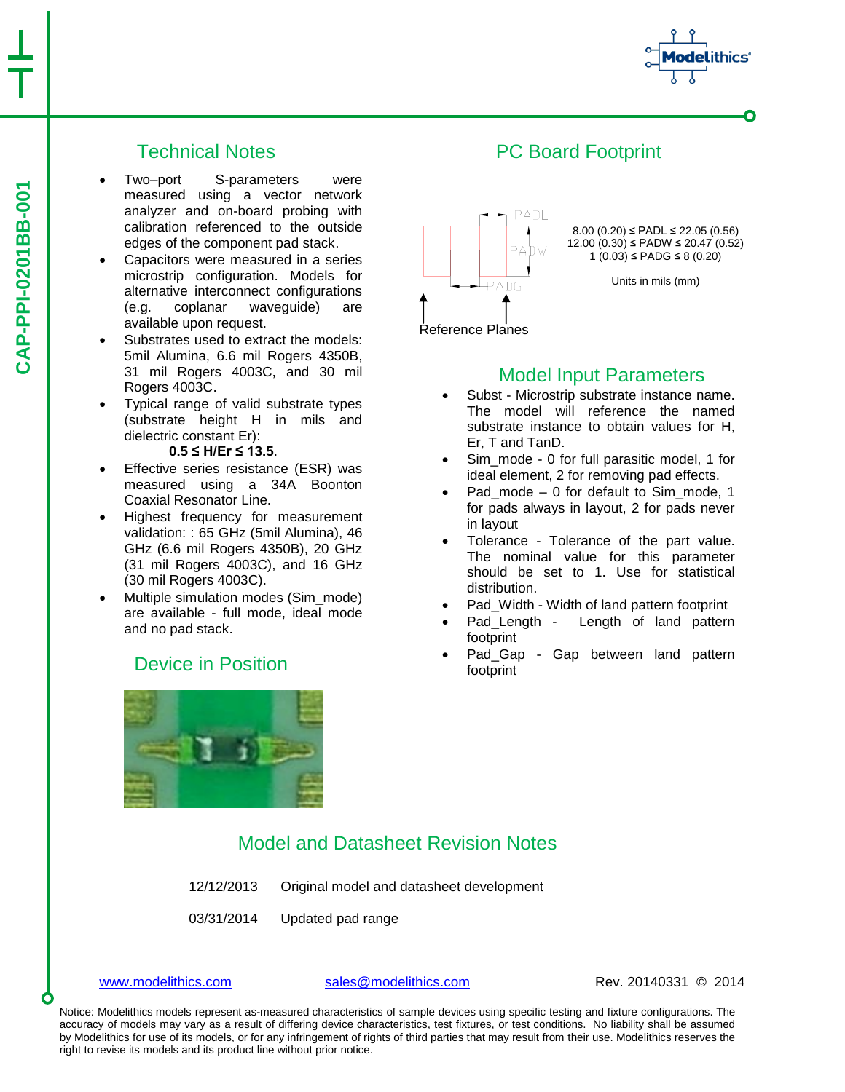

#### Technical Notes

- Two–port S-parameters were measured using a vector network analyzer and on-board probing with calibration referenced to the outside edges of the component pad stack.
- Capacitors were measured in a series microstrip configuration. Models for alternative interconnect configurations (e.g. coplanar waveguide) are available upon request.
- Substrates used to extract the models: 5mil Alumina, 6.6 mil Rogers 4350B, 31 mil Rogers 4003C, and 30 mil Rogers 4003C.
- Typical range of valid substrate types (substrate height H in mils and dielectric constant Er):

#### **0.5 ≤ H/Er ≤ 13.5**.

- Effective series resistance (ESR) was measured using a 34A Boonton Coaxial Resonator Line.
- Highest frequency for measurement validation: : 65 GHz (5mil Alumina), 46 GHz (6.6 mil Rogers 4350B), 20 GHz (31 mil Rogers 4003C), and 16 GHz (30 mil Rogers 4003C).
- Multiple simulation modes (Sim\_mode) are available - full mode, ideal mode and no pad stack.

#### Device in Position





#### Model Input Parameters

- Subst Microstrip substrate instance name. The model will reference the named substrate instance to obtain values for H, Er, T and TanD.
- Sim\_mode 0 for full parasitic model, 1 for ideal element, 2 for removing pad effects.
- Pad\_mode 0 for default to Sim\_mode, 1 for pads always in layout, 2 for pads never in layout
- Tolerance Tolerance of the part value. The nominal value for this parameter should be set to 1. Use for statistical distribution.
- Pad\_Width Width of land pattern footprint
- Pad Length Length of land pattern footprint
- Pad\_Gap Gap between land pattern footprint

#### Model and Datasheet Revision Notes

- 12/12/2013 Original model and datasheet development
- 03/31/2014 Updated pad range

[www.modelithics.com](http://www.modelithics.com/) [sales@modelithics.com](mailto:sales@modelithics.com) Rev. 20140331 © 2014

Notice: Modelithics models represent as-measured characteristics of sample devices using specific testing and fixture configurations. The accuracy of models may vary as a result of differing device characteristics, test fixtures, or test conditions. No liability shall be assumed by Modelithics for use of its models, or for any infringement of rights of third parties that may result from their use. Modelithics reserves the right to revise its models and its product line without prior notice.